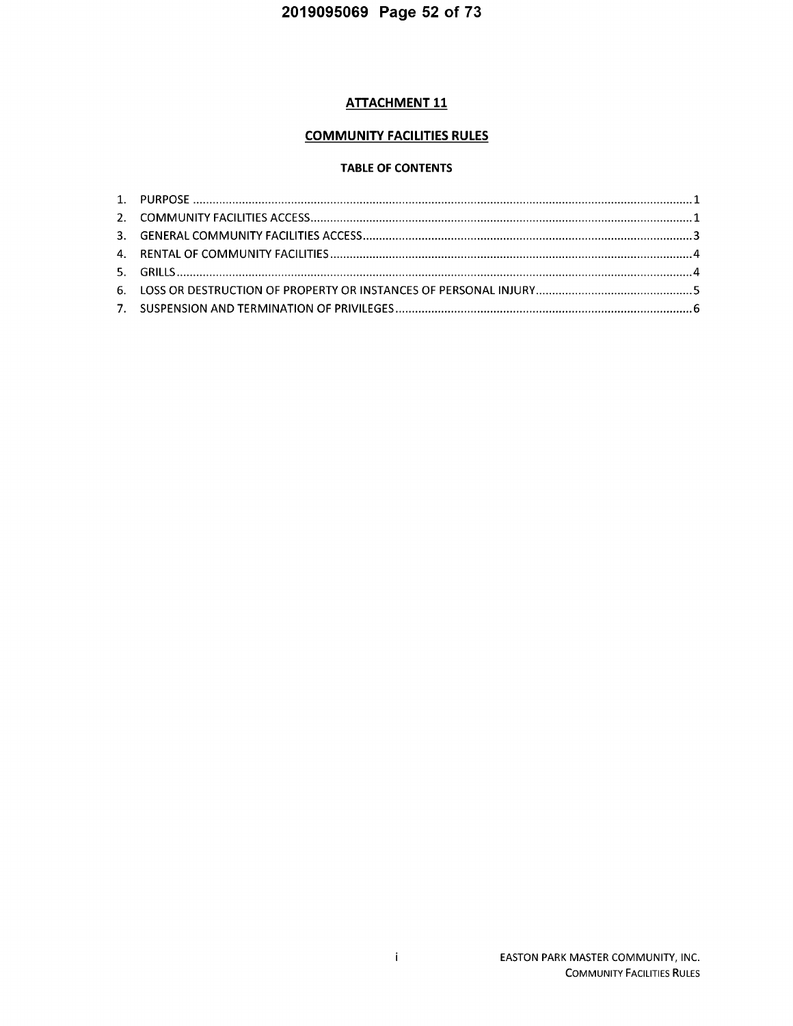# **ATTACHMENT 11**

# **COMMUNITY FACILITIES RULES**

# **TABLE OF CONTENTS**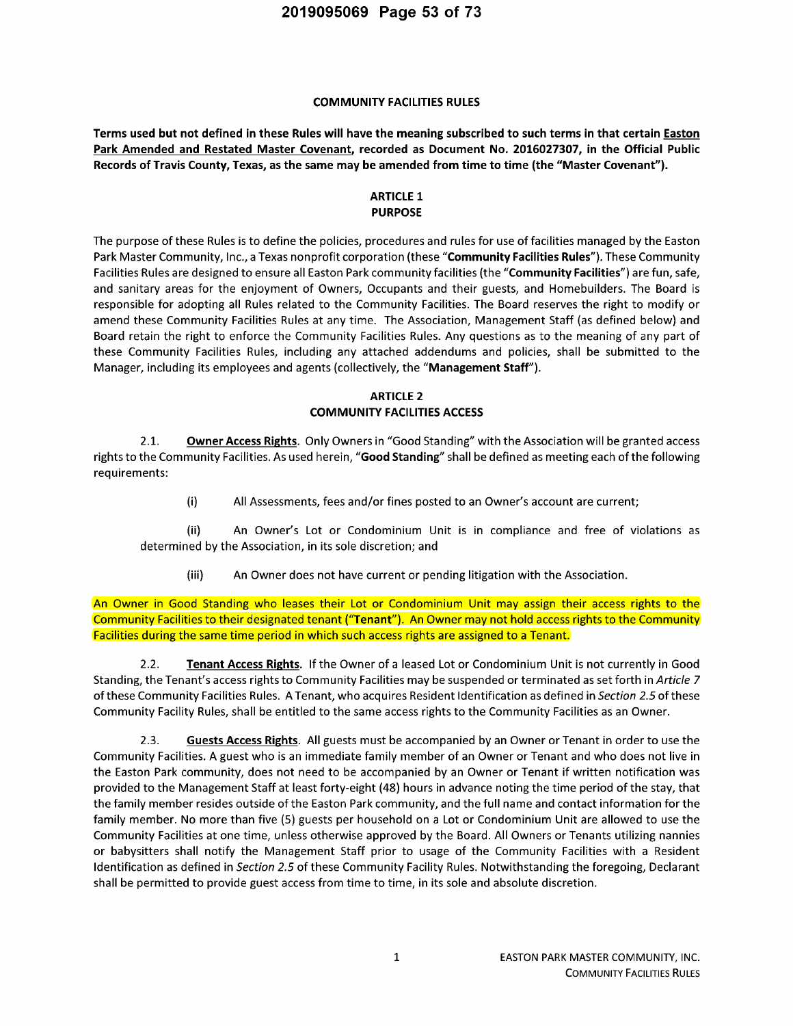### COMMUNITY FACILITIES RULES

Terms used but not defined in these Rules will have the meaning subscribed to such terms in that certain Easton Park Amended and Restated Master Covenant, recorded as Document No. 2016027307, in the Official Public Records of Travis County, Texas, as the same may be amended from time to time (the "Master Covenant").

### ARTICLE 1 PURPOSE

The purpose of these Rules is to define the policies, procedures and rules for use of facilities managed by the Easton Park Master Community, Inc., a Texas nonprofit corporation (these "Community Facilities Rules"). These Community Facilities Rules are designed to ensure all Easton Park community facilities (the "Community Facilities") are fun, safe, and sanitary areas for the enjoyment of Owners, Occupants and their guests, and Homebuilders. The Board is responsible for adopting all Rules related to the Community Facilities. The Board reserves the right to modify or amend these Community Facilities Rules at any time. The Association, Management Staff (as defined below) and Board retain the right to enforce the Community Facilities Rules. Any questions as to the meaning of any part of these Community Facilities Rules, including any attached addendums and policies, shall be submitted to the Manager, including its employees and agents (collectively, the "Management Staff").

### ARTICLE 2 COMMUNITY FACILITIES ACCESS

2.1. **Owner Access Rights**. Only Owners in "Good Standing" with the Association will be granted access rights to the Community Facilities. As used herein, "Good Standing" shall be defined as meeting each of the following requirements:

(i) All Assessments, fees and/or fines posted to an Owner's account are current;

(ii) An Owner's Lot or Condominium Unit is in compliance and free of violations as determined by the Association, in its sole discretion; and

(iii) An Owner does not have current or pending litigation with the Association.

An Owner in Good Standing who leases their Lot or Condominium Unit may assign their access rights to the Community Facilities to their designated tenant ("Tenant"). An Owner may not hold access rights to the Community Facilities during the same time period in which such access rights are assigned to a Tenant.

2.2. Tenant Access Rights. If the Owner of a leased Lot or Condominium Unit is not currently in Good Standing, the Tenant's access rights to Community Facilities may be suspended or terminated as set forth in Article 7 of these Community Facilities Rules. A Tenant, who acquires Resident Identification as defined in Section 2.5 of these Community Facility Rules, shall be entitled to the same access rights to the Community Facilities as an Owner.

2.3. Guests Access Rights. All guests must be accompanied by an Owner or Tenant in order to use the Community Facilities. A guest who is an immediate family member of an Owner or Tenant and who does not live in the Easton Park community, does not need to be accompanied by an Owner or Tenant if written notification was provided to the Management Staff at least forty-eight (48) hours in advance noting the time period of the stay, that the family member resides outside of the Easton Park community, and the full name and contact information for the family member. No more than five (5) guests per household on a Lot or Condominium Unit are allowed to use the Community Facilities at one time, unless otherwise approved by the Board. All Owners or Tenants utilizing nannies or babysitters shall notify the Management Staff prior to usage of the Community Facilities with a Resident Identification as defined in Section 2.5 of these Community Facility Rules. Notwithstanding the foregoing, Declarant shall be permitted to provide guest access from time to time, in its sole and absolute discretion.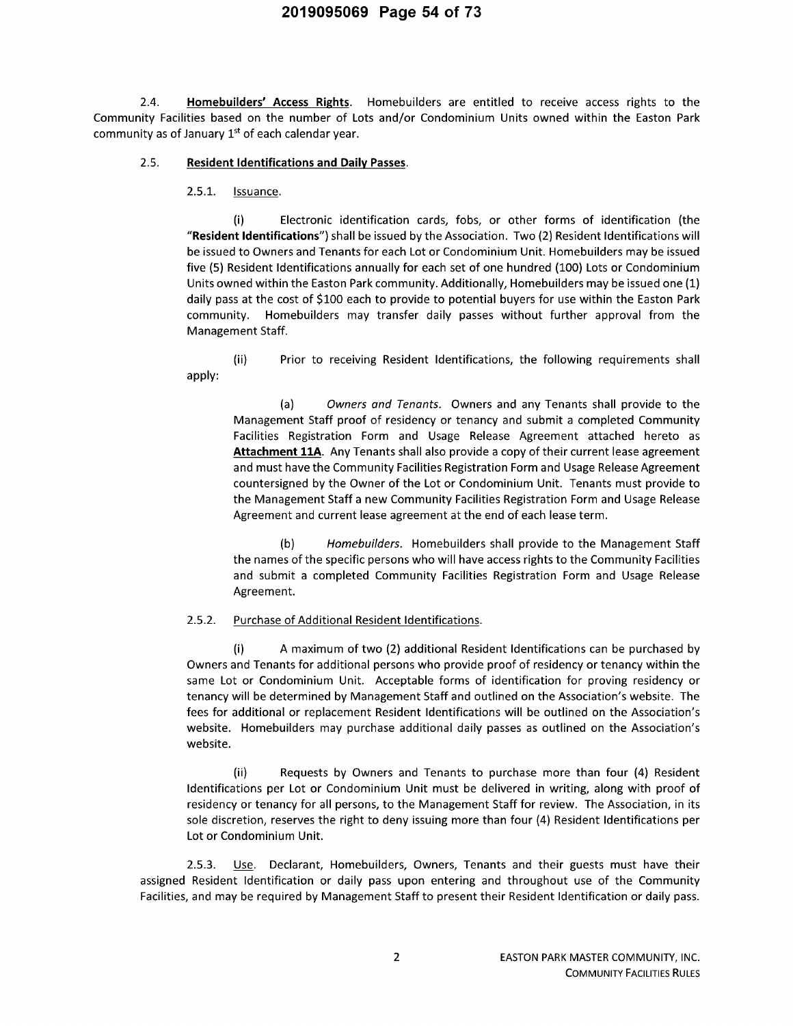# 2019095069 Page 54 of 73

 $2.4.$ Homebuilders' Access Rights. Homebuilders are entitled to receive access rights to the Community Facilities based on the number of Lots and/or Condominium Units owned within the Easton Park community as of January 1<sup>st</sup> of each calendar year.

#### **Resident Identifications and Daily Passes.**  $2.5.$

 $2.5.1.$ Issuance.

 $(i)$ Electronic identification cards, fobs, or other forms of identification (the "Resident Identifications") shall be issued by the Association. Two (2) Resident Identifications will be issued to Owners and Tenants for each Lot or Condominium Unit. Homebuilders may be issued five (5) Resident Identifications annually for each set of one hundred (100) Lots or Condominium Units owned within the Easton Park community. Additionally, Homebuilders may be issued one (1) daily pass at the cost of \$100 each to provide to potential buyers for use within the Easton Park community. Homebuilders may transfer daily passes without further approval from the Management Staff.

 $(ii)$ Prior to receiving Resident Identifications, the following requirements shall apply:

 $(a)$ Owners and Tenants. Owners and any Tenants shall provide to the Management Staff proof of residency or tenancy and submit a completed Community Facilities Registration Form and Usage Release Agreement attached hereto as Attachment 11A. Any Tenants shall also provide a copy of their current lease agreement and must have the Community Facilities Registration Form and Usage Release Agreement countersigned by the Owner of the Lot or Condominium Unit. Tenants must provide to the Management Staff a new Community Facilities Registration Form and Usage Release Agreement and current lease agreement at the end of each lease term.

 $(b)$ Homebuilders. Homebuilders shall provide to the Management Staff the names of the specific persons who will have access rights to the Community Facilities and submit a completed Community Facilities Registration Form and Usage Release Agreement.

#### $2.5.2.$ Purchase of Additional Resident Identifications.

A maximum of two (2) additional Resident Identifications can be purchased by  $(i)$ Owners and Tenants for additional persons who provide proof of residency or tenancy within the same Lot or Condominium Unit. Acceptable forms of identification for proving residency or tenancy will be determined by Management Staff and outlined on the Association's website. The fees for additional or replacement Resident Identifications will be outlined on the Association's website. Homebuilders may purchase additional daily passes as outlined on the Association's website.

 $(ii)$ Requests by Owners and Tenants to purchase more than four (4) Resident Identifications per Lot or Condominium Unit must be delivered in writing, along with proof of residency or tenancy for all persons, to the Management Staff for review. The Association, in its sole discretion, reserves the right to deny issuing more than four (4) Resident Identifications per Lot or Condominium Unit.

 $2.5.3.$ Use. Declarant, Homebuilders, Owners, Tenants and their guests must have their assigned Resident Identification or daily pass upon entering and throughout use of the Community Facilities, and may be required by Management Staff to present their Resident Identification or daily pass.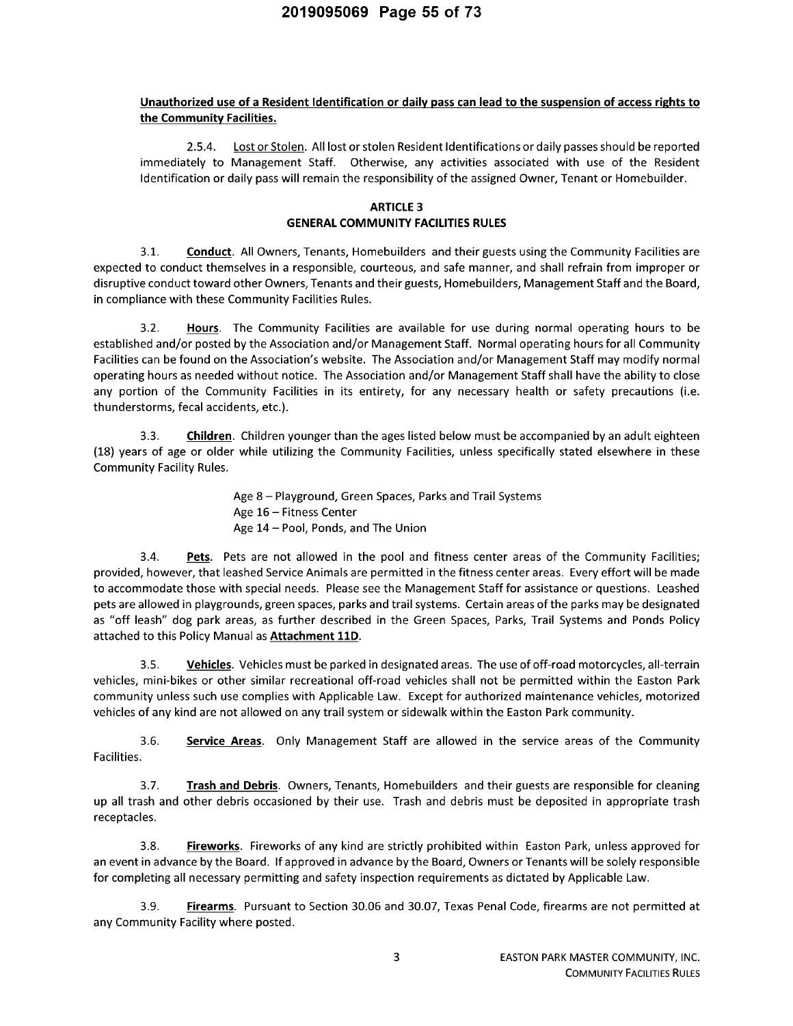## Unauthorized use of a Resident Identification or daily pass can lead to the suspension of access rights to the Community Facilities.

Lost or Stolen. All lost or stolen Resident Identifications or daily passes should be reported  $2.5.4.$ immediately to Management Staff. Otherwise, any activities associated with use of the Resident Identification or daily pass will remain the responsibility of the assigned Owner, Tenant or Homebuilder.

## **ARTICLE 3 GENERAL COMMUNITY FACILITIES RULES**

 $3.1.$ Conduct. All Owners, Tenants, Homebuilders and their guests using the Community Facilities are expected to conduct themselves in a responsible, courteous, and safe manner, and shall refrain from improper or disruptive conduct toward other Owners, Tenants and their guests, Homebuilders, Management Staff and the Board, in compliance with these Community Facilities Rules.

Hours. The Community Facilities are available for use during normal operating hours to be  $3.2.$ established and/or posted by the Association and/or Management Staff. Normal operating hours for all Community Facilities can be found on the Association's website. The Association and/or Management Staff may modify normal operating hours as needed without notice. The Association and/or Management Staff shall have the ability to close any portion of the Community Facilities in its entirety, for any necessary health or safety precautions (i.e. thunderstorms, fecal accidents, etc.).

Children. Children younger than the ages listed below must be accompanied by an adult eighteen  $3.3.$ (18) years of age or older while utilizing the Community Facilities, unless specifically stated elsewhere in these **Community Facility Rules.** 

> Age 8 - Playground, Green Spaces, Parks and Trail Systems Age 16 - Fitness Center Age 14 - Pool, Ponds, and The Union

 $3.4.$ Pets. Pets are not allowed in the pool and fitness center areas of the Community Facilities; provided, however, that leashed Service Animals are permitted in the fitness center areas. Every effort will be made to accommodate those with special needs. Please see the Management Staff for assistance or questions. Leashed pets are allowed in playgrounds, green spaces, parks and trail systems. Certain areas of the parks may be designated as "off leash" dog park areas, as further described in the Green Spaces, Parks, Trail Systems and Ponds Policy attached to this Policy Manual as Attachment 11D.

Vehicles. Vehicles must be parked in designated areas. The use of off-road motorcycles, all-terrain  $3.5.$ vehicles, mini-bikes or other similar recreational off-road vehicles shall not be permitted within the Easton Park community unless such use complies with Applicable Law. Except for authorized maintenance vehicles, motorized vehicles of any kind are not allowed on any trail system or sidewalk within the Easton Park community.

 $3.6.$ Service Areas. Only Management Staff are allowed in the service areas of the Community Facilities.

Trash and Debris. Owners, Tenants, Homebuilders and their guests are responsible for cleaning  $3.7.$ up all trash and other debris occasioned by their use. Trash and debris must be deposited in appropriate trash receptacles.

Fireworks. Fireworks of any kind are strictly prohibited within Easton Park, unless approved for  $3.8.$ an event in advance by the Board. If approved in advance by the Board, Owners or Tenants will be solely responsible for completing all necessary permitting and safety inspection requirements as dictated by Applicable Law.

Firearms. Pursuant to Section 30.06 and 30.07, Texas Penal Code, firearms are not permitted at 3.9. any Community Facility where posted.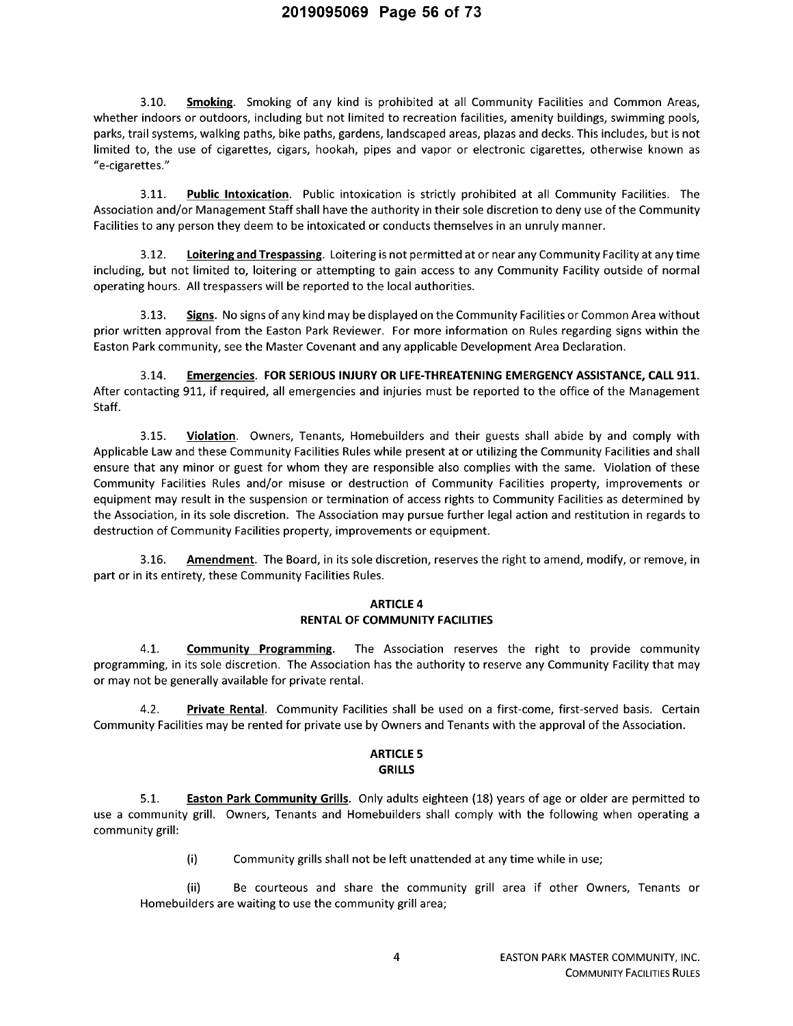Smoking. Smoking of any kind is prohibited at all Community Facilities and Common Areas,  $3.10.$ whether indoors or outdoors, including but not limited to recreation facilities, amenity buildings, swimming pools, parks, trail systems, walking paths, bike paths, gardens, landscaped areas, plazas and decks. This includes, but is not limited to, the use of cigarettes, cigars, hookah, pipes and vapor or electronic cigarettes, otherwise known as "e-cigarettes."

 $3.11.$ Public Intoxication. Public intoxication is strictly prohibited at all Community Facilities. The Association and/or Management Staff shall have the authority in their sole discretion to deny use of the Community Facilities to any person they deem to be intoxicated or conducts themselves in an unruly manner.

 $3.12.$ Loitering and Trespassing. Loitering is not permitted at or near any Community Facility at any time including, but not limited to, loitering or attempting to gain access to any Community Facility outside of normal operating hours. All trespassers will be reported to the local authorities.

 $3.13.$ Signs. No signs of any kind may be displayed on the Community Facilities or Common Area without prior written approval from the Easton Park Reviewer. For more information on Rules regarding signs within the Easton Park community, see the Master Covenant and any applicable Development Area Declaration.

Emergencies. FOR SERIOUS INJURY OR LIFE-THREATENING EMERGENCY ASSISTANCE, CALL 911.  $3.14.$ After contacting 911, if required, all emergencies and injuries must be reported to the office of the Management Staff.

Violation. Owners, Tenants, Homebuilders and their guests shall abide by and comply with  $3.15.$ Applicable Law and these Community Facilities Rules while present at or utilizing the Community Facilities and shall ensure that any minor or guest for whom they are responsible also complies with the same. Violation of these Community Facilities Rules and/or misuse or destruction of Community Facilities property, improvements or equipment may result in the suspension or termination of access rights to Community Facilities as determined by the Association, in its sole discretion. The Association may pursue further legal action and restitution in regards to destruction of Community Facilities property, improvements or equipment.

 $3.16.$ Amendment. The Board, in its sole discretion, reserves the right to amend, modify, or remove, in part or in its entirety, these Community Facilities Rules.

### **ARTICLE 4 RENTAL OF COMMUNITY FACILITIES**

 $4.1.$ **Community Programming.** The Association reserves the right to provide community programming, in its sole discretion. The Association has the authority to reserve any Community Facility that may or may not be generally available for private rental.

 $4.2.$ Private Rental. Community Facilities shall be used on a first-come, first-served basis. Certain Community Facilities may be rented for private use by Owners and Tenants with the approval of the Association.

### **ARTICLE 5 GRILLS**

Easton Park Community Grills. Only adults eighteen (18) years of age or older are permitted to  $5.1.$ use a community grill. Owners, Tenants and Homebuilders shall comply with the following when operating a community grill:

> $(i)$ Community grills shall not be left unattended at any time while in use;

Be courteous and share the community grill area if other Owners, Tenants or  $(ii)$ Homebuilders are waiting to use the community grill area;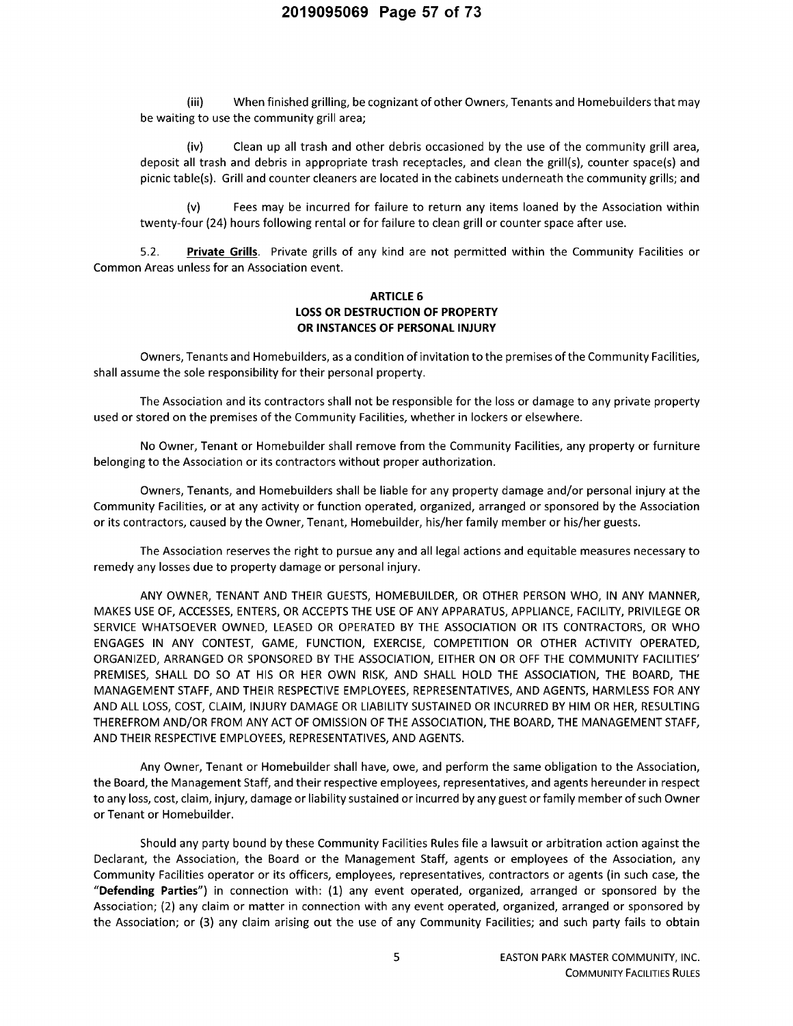$(iii)$ When finished grilling, be cognizant of other Owners, Tenants and Homebuilders that may be waiting to use the community grill area;

Clean up all trash and other debris occasioned by the use of the community grill area,  $(iv)$ deposit all trash and debris in appropriate trash receptacles, and clean the grill(s), counter space(s) and picnic table(s). Grill and counter cleaners are located in the cabinets underneath the community grills; and

Fees may be incurred for failure to return any items loaned by the Association within  $(v)$ twenty-four (24) hours following rental or for failure to clean grill or counter space after use.

 $5.2.$ Private Grills. Private grills of any kind are not permitted within the Community Facilities or Common Areas unless for an Association event.

### **ARTICLE 6 LOSS OR DESTRUCTION OF PROPERTY** OR INSTANCES OF PERSONAL INJURY

Owners, Tenants and Homebuilders, as a condition of invitation to the premises of the Community Facilities, shall assume the sole responsibility for their personal property.

The Association and its contractors shall not be responsible for the loss or damage to any private property used or stored on the premises of the Community Facilities, whether in lockers or elsewhere.

No Owner, Tenant or Homebuilder shall remove from the Community Facilities, any property or furniture belonging to the Association or its contractors without proper authorization.

Owners, Tenants, and Homebuilders shall be liable for any property damage and/or personal injury at the Community Facilities, or at any activity or function operated, organized, arranged or sponsored by the Association or its contractors, caused by the Owner, Tenant, Homebuilder, his/her family member or his/her guests.

The Association reserves the right to pursue any and all legal actions and equitable measures necessary to remedy any losses due to property damage or personal injury.

ANY OWNER, TENANT AND THEIR GUESTS, HOMEBUILDER, OR OTHER PERSON WHO, IN ANY MANNER, MAKES USE OF, ACCESSES, ENTERS, OR ACCEPTS THE USE OF ANY APPARATUS, APPLIANCE, FACILITY, PRIVILEGE OR SERVICE WHATSOEVER OWNED, LEASED OR OPERATED BY THE ASSOCIATION OR ITS CONTRACTORS, OR WHO ENGAGES IN ANY CONTEST, GAME, FUNCTION, EXERCISE, COMPETITION OR OTHER ACTIVITY OPERATED, ORGANIZED, ARRANGED OR SPONSORED BY THE ASSOCIATION, EITHER ON OR OFF THE COMMUNITY FACILITIES' PREMISES, SHALL DO SO AT HIS OR HER OWN RISK, AND SHALL HOLD THE ASSOCIATION, THE BOARD, THE MANAGEMENT STAFF, AND THEIR RESPECTIVE EMPLOYEES, REPRESENTATIVES, AND AGENTS, HARMLESS FOR ANY AND ALL LOSS, COST, CLAIM, INJURY DAMAGE OR LIABILITY SUSTAINED OR INCURRED BY HIM OR HER, RESULTING THEREFROM AND/OR FROM ANY ACT OF OMISSION OF THE ASSOCIATION, THE BOARD, THE MANAGEMENT STAFF, AND THEIR RESPECTIVE EMPLOYEES, REPRESENTATIVES, AND AGENTS.

Any Owner, Tenant or Homebuilder shall have, owe, and perform the same obligation to the Association, the Board, the Management Staff, and their respective employees, representatives, and agents hereunder in respect to any loss, cost, claim, injury, damage or liability sustained or incurred by any guest or family member of such Owner or Tenant or Homebuilder.

Should any party bound by these Community Facilities Rules file a lawsuit or arbitration action against the Declarant, the Association, the Board or the Management Staff, agents or employees of the Association, any Community Facilities operator or its officers, employees, representatives, contractors or agents (in such case, the "Defending Parties") in connection with: (1) any event operated, organized, arranged or sponsored by the Association; (2) any claim or matter in connection with any event operated, organized, arranged or sponsored by the Association; or (3) any claim arising out the use of any Community Facilities; and such party fails to obtain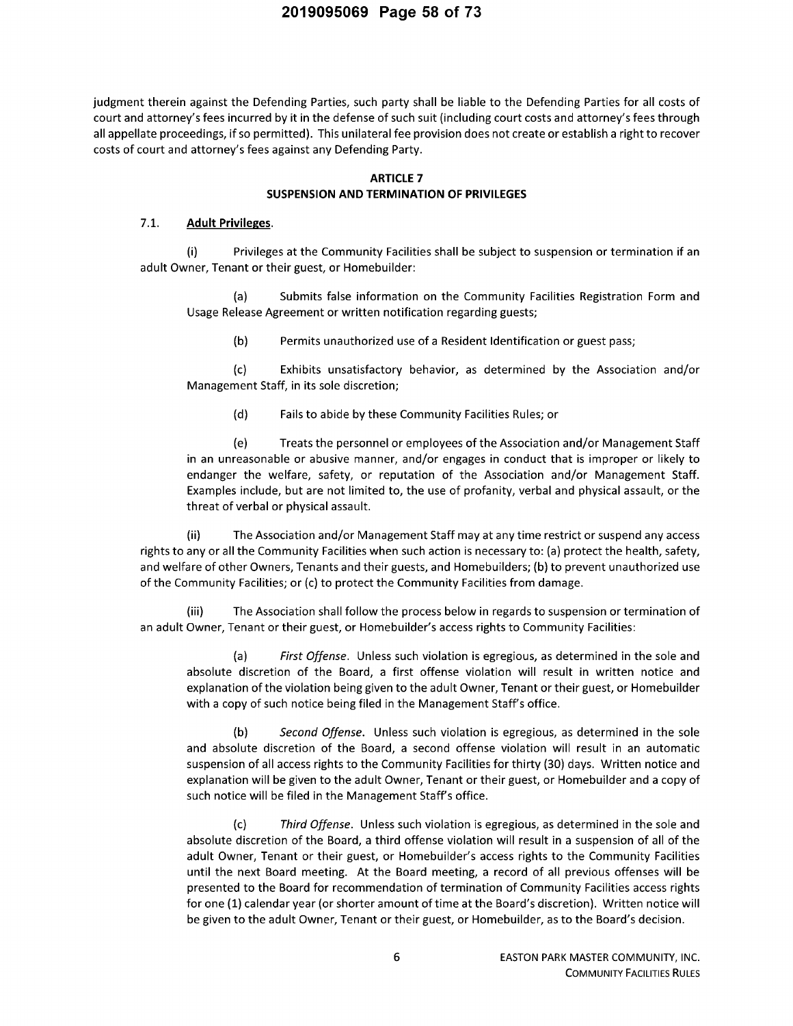judgment therein against the Defending Parties, such party shall be liable to the Defending Parties for all costs of court and attorney's fees incurred by it in the defense of such suit (including court costs and attorney's fees through all appellate proceedings, if so permitted). This unilateral fee provision does not create or establish a right to recover costs of court and attorney's fees against any Defending Party.

### **ARTICLE 7**

# SUSPENSION AND TERMINATION OF PRIVILEGES

### $7.1.$ **Adult Privileges.**

 $(i)$ Privileges at the Community Facilities shall be subject to suspension or termination if an adult Owner, Tenant or their guest, or Homebuilder:

 $(a)$ Submits false information on the Community Facilities Registration Form and Usage Release Agreement or written notification regarding guests;

 $(b)$ Permits unauthorized use of a Resident Identification or guest pass;

 $(c)$ Exhibits unsatisfactory behavior, as determined by the Association and/or Management Staff, in its sole discretion;

 $(d)$ Fails to abide by these Community Facilities Rules; or

 $(e)$ Treats the personnel or employees of the Association and/or Management Staff in an unreasonable or abusive manner, and/or engages in conduct that is improper or likely to endanger the welfare, safety, or reputation of the Association and/or Management Staff. Examples include, but are not limited to, the use of profanity, verbal and physical assault, or the threat of verbal or physical assault.

 $(ii)$ The Association and/or Management Staff may at any time restrict or suspend any access rights to any or all the Community Facilities when such action is necessary to: (a) protect the health, safety, and welfare of other Owners, Tenants and their guests, and Homebuilders; (b) to prevent unauthorized use of the Community Facilities; or (c) to protect the Community Facilities from damage.

 $(iii)$ The Association shall follow the process below in regards to suspension or termination of an adult Owner, Tenant or their guest, or Homebuilder's access rights to Community Facilities:

First Offense. Unless such violation is egregious, as determined in the sole and  $(a)$ absolute discretion of the Board, a first offense violation will result in written notice and explanation of the violation being given to the adult Owner, Tenant or their guest, or Homebuilder with a copy of such notice being filed in the Management Staff's office.

 $(b)$ Second Offense. Unless such violation is egregious, as determined in the sole and absolute discretion of the Board, a second offense violation will result in an automatic suspension of all access rights to the Community Facilities for thirty (30) days. Written notice and explanation will be given to the adult Owner, Tenant or their guest, or Homebuilder and a copy of such notice will be filed in the Management Staff's office.

 $(c)$ Third Offense. Unless such violation is egregious, as determined in the sole and absolute discretion of the Board, a third offense violation will result in a suspension of all of the adult Owner, Tenant or their guest, or Homebuilder's access rights to the Community Facilities until the next Board meeting. At the Board meeting, a record of all previous offenses will be presented to the Board for recommendation of termination of Community Facilities access rights for one (1) calendar year (or shorter amount of time at the Board's discretion). Written notice will be given to the adult Owner, Tenant or their guest, or Homebuilder, as to the Board's decision.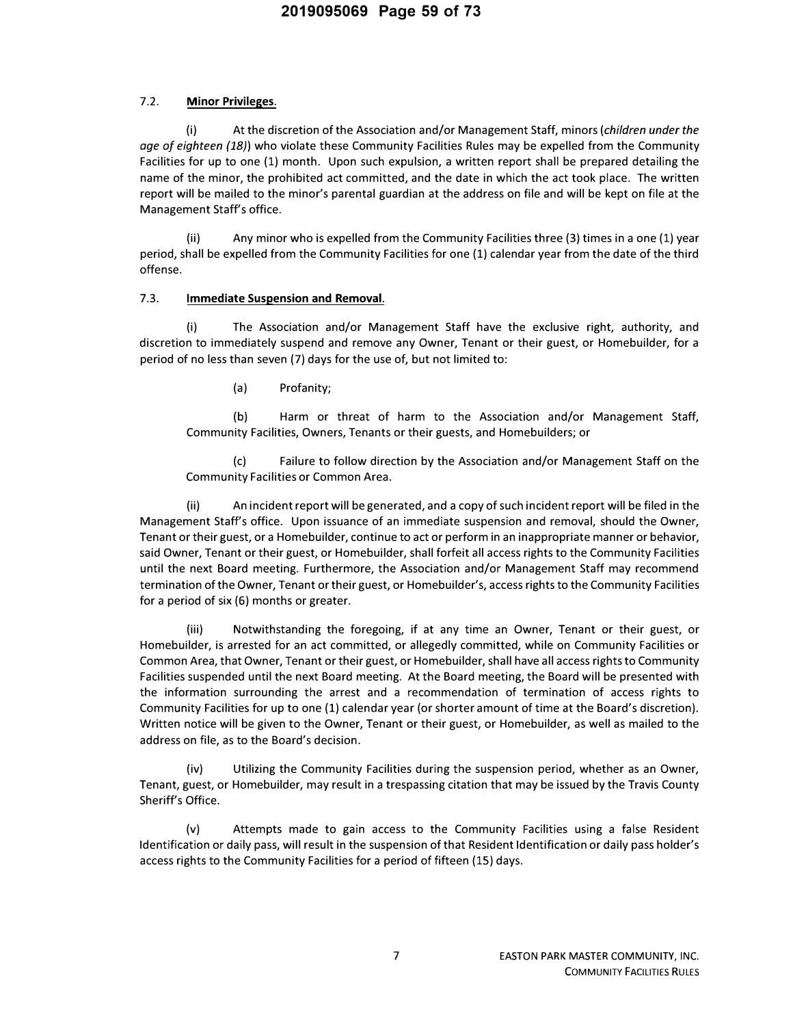## 7.2. **Minor Privileges.**

(i) At the discretion of the Association and/or Management Staff, minors *(children under the age of eighteen {18))* who violate these Community Facilities Rules may be expelled from the Community Facilities for up to one (1) month. Upon such expulsion, a written report shall be prepared detailing the name of the minor, the prohibited act committed, and the date in which the act took place. The written report will be mailed to the minor's parental guardian at the address on file and will be kept on file at the Management Staff's office.

(ii) Any minor who is expelled from the Community Facilities three (3) times in a one (1) year period, shall be expelled from the Community Facilities for one (1) calendar year from the date of the third offense.

## 7.3. **Immediate Suspension and Removal.**

(i) The Association and/or Management Staff have the exclusive right, authority, and discretion to immediately suspend and remove any Owner, Tenant or their guest, or Homebuilder, for a period of no less than seven (7) days for the use of, but not limited to:

(a) Profanity;

(b) Harm or threat of harm to the Association and/or Management Staff, Community Facilities, Owners, Tenants or their guests, and Homebuilders; or

(c) Failure to follow direction by the Association and/or Management Staff on the Community Facilities or Common Area.

(ii) An incident report will be generated, and a copy of such incident report will be filed in the Management Staff's office. Upon issuance of an immediate suspension and removal, should the Owner, Tenant or their guest, or a Homebuilder, continue to act or perform in an inappropriate manner or behavior, said Owner, Tenant or their guest, or Homebuilder, shall forfeit all access rights to the Community Facilities until the next Board meeting. Furthermore, the Association and/or Management Staff may recommend termination of the Owner, Tenant or their guest, or Homebuilder's, access rights to the Community Facilities for a period of six (6) months or greater.

(iii) Notwithstanding the foregoing, if at any time an Owner, Tenant or their guest, or Homebuilder, is arrested for an act committed, or allegedly committed, while on Community Facilities or Common Area, that Owner, Tenant or their guest, or Homebuilder, shall have all access rights to Community Facilities suspended until the next Board meeting. At the Board meeting, the Board will be presented with the information surrounding the arrest and a recommendation of termination of access rights to Community Facilities for up to one (1) calendar year (or shorter amount of time at the Board's discretion). Written notice will be given to the Owner, Tenant or their guest, or Homebuilder, as well as mailed to the address on file, as to the Board's decision.

(iv) Utilizing the Community Facilities during the suspension period, whether as an Owner, Tenant, guest, or Homebuilder, may result in a trespassing citation that may be issued by the Travis County Sheriff's Office.

(v) Attempts made to gain access to the Community Facilities using a false Resident Identification or daily pass, will result in the suspension of that Resident Identification or daily pass holder's access rights to the Community Facilities for a period of fifteen (15) days.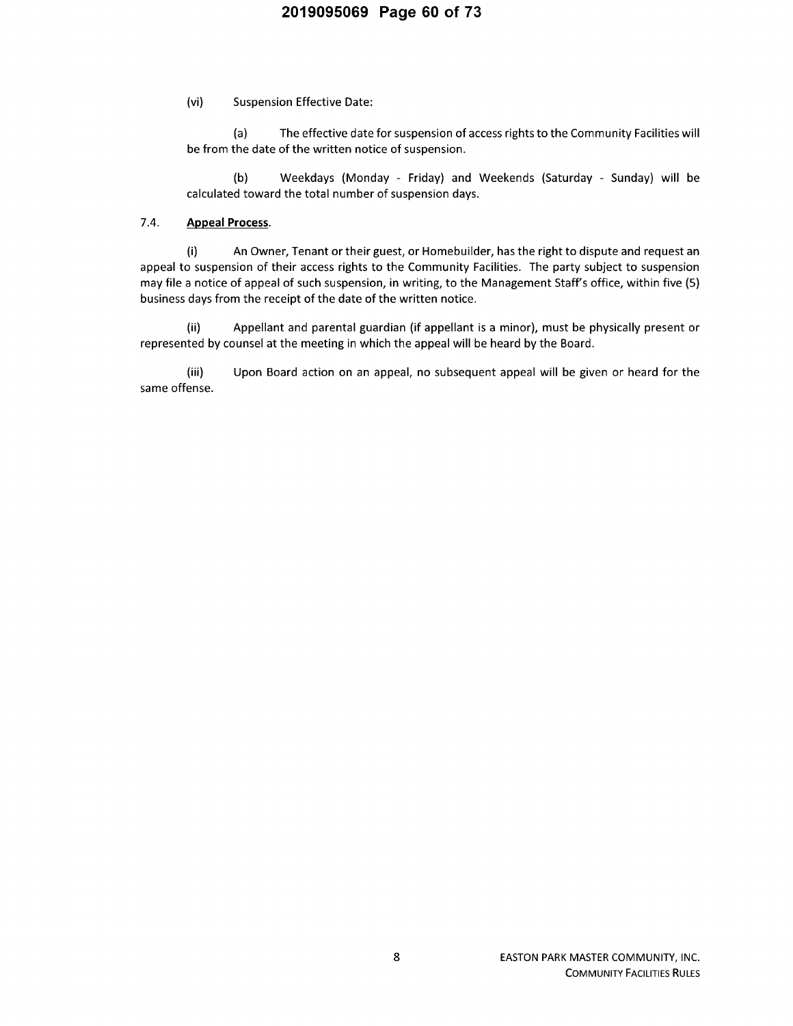$(vi)$ **Suspension Effective Date:** 

The effective date for suspension of access rights to the Community Facilities will  $(a)$ be from the date of the written notice of suspension.

Weekdays (Monday - Friday) and Weekends (Saturday - Sunday) will be  $(b)$ calculated toward the total number of suspension days.

### $7.4.$ **Appeal Process.**

 $(i)$ An Owner, Tenant or their guest, or Homebuilder, has the right to dispute and request an appeal to suspension of their access rights to the Community Facilities. The party subject to suspension may file a notice of appeal of such suspension, in writing, to the Management Staff's office, within five (5) business days from the receipt of the date of the written notice.

Appellant and parental guardian (if appellant is a minor), must be physically present or  $(ii)$ represented by counsel at the meeting in which the appeal will be heard by the Board.

 $(iii)$ Upon Board action on an appeal, no subsequent appeal will be given or heard for the same offense.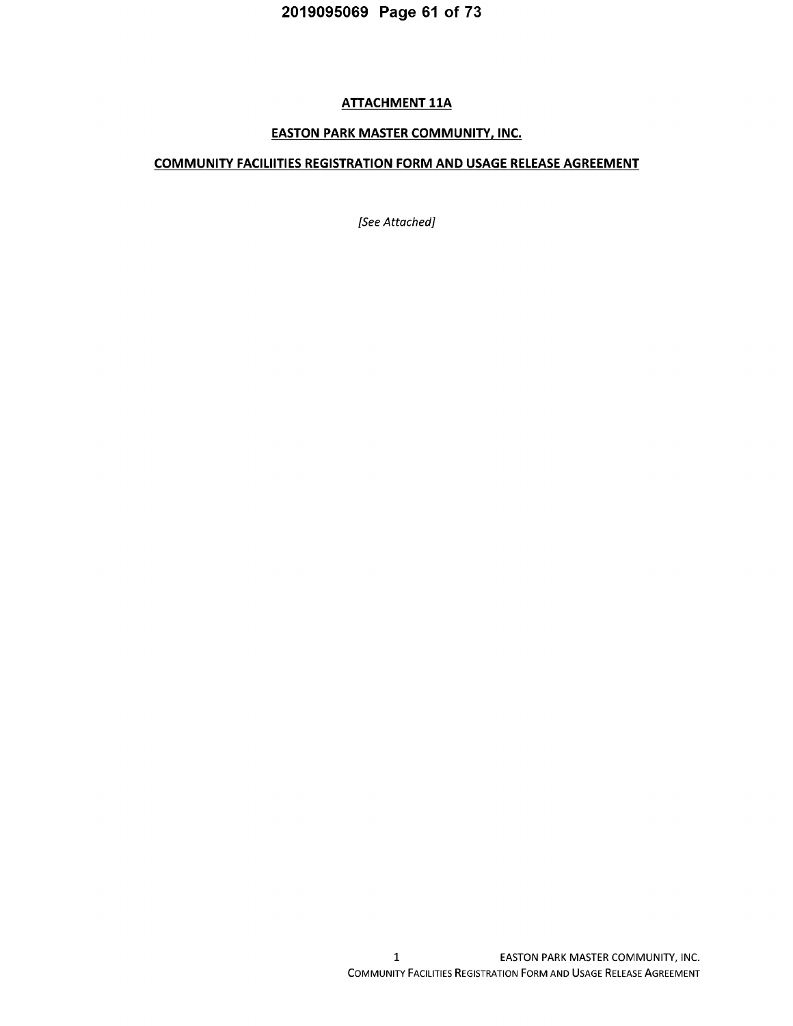# 2019095069 Page 61 of 73

# **ATTACHMENT 11A**

# **EASTON PARK MASTER COMMUNITY, INC.**

# **COMMUNITY FACILIITIES REGISTRATION FORM AND USAGE RELEASE AGREEMENT**

[See Attached]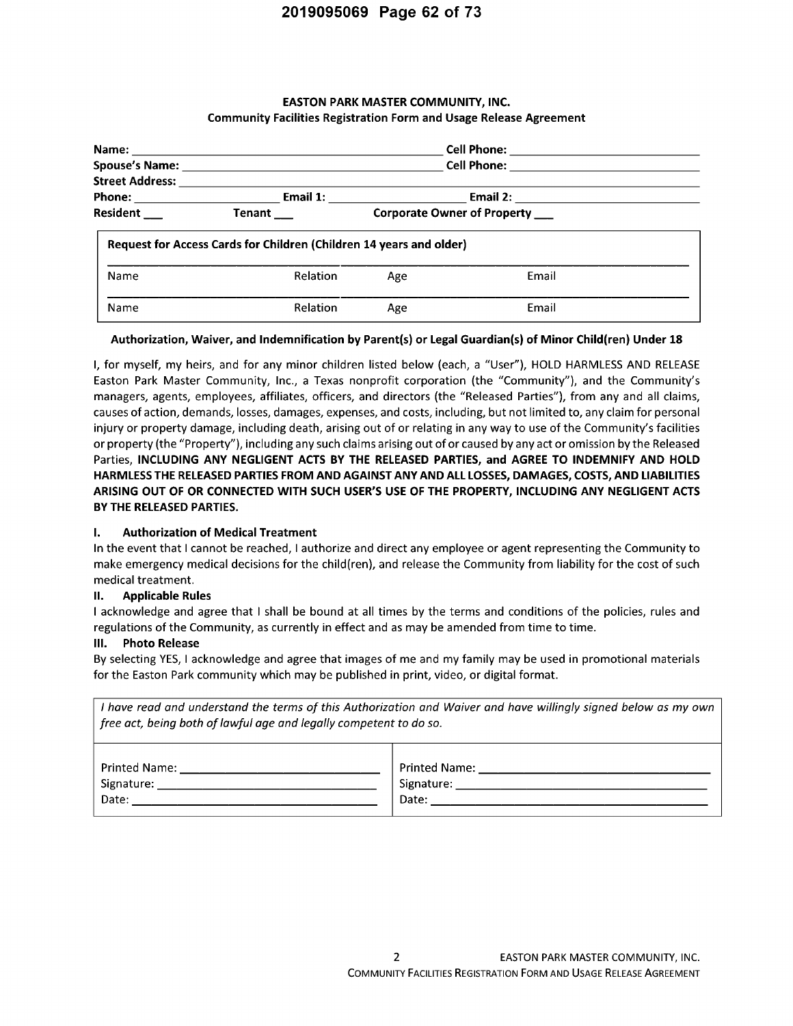### **EASTON PARK MASTER COMMUNITY, INC. Community Facilities Registration Form and Usage Release Agreement**

| Name:<br><b>Spouse's Name:</b> |          | Cell Phone:<br>Cell Phone: <b>Cell</b> Phone: |  |
|--------------------------------|----------|-----------------------------------------------|--|
| <b>Street Address:</b>         |          |                                               |  |
| Phone:                         | Email 1: | Email 2:                                      |  |
| Resident                       | Tenant   | <b>Corporate Owner of Property</b>            |  |

| Name | Relation | Age | Email |
|------|----------|-----|-------|
| Name | Relation | Age | Email |

### Authorization, Waiver, and Indemnification by Parent(s) or Legal Guardian(s) of Minor Child(ren) Under 18

I, for myself, my heirs, and for any minor children listed below (each, a "User"), HOLD HARMLESS AND RELEASE Easton Park Master Community, Inc., a Texas nonprofit corporation (the "Community"), and the Community's managers, agents, employees, affiliates, officers, and directors (the "Released Parties"), from any and all claims, causes of action, demands, losses, damages, expenses, and costs, including, but not limited to, any claim for personal injury or property damage, including death, arising out of or relating in any way to use of the Community's facilities or property (the "Property"), including any such claims arising out of or caused by any act or omission by the Released Parties, INCLUDING ANY NEGLIGENT ACTS BY THE RELEASED PARTIES, and AGREE TO INDEMNIFY AND HOLD HARMLESS THE RELEASED PARTIES FROM AND AGAINST ANY AND ALL LOSSES, DAMAGES, COSTS, AND LIABILITIES ARISING OUT OF OR CONNECTED WITH SUCH USER'S USE OF THE PROPERTY, INCLUDING ANY NEGLIGENT ACTS BY THE RELEASED PARTIES.

### L. **Authorization of Medical Treatment**

In the event that I cannot be reached, I authorize and direct any employee or agent representing the Community to make emergency medical decisions for the child(ren), and release the Community from liability for the cost of such medical treatment.

### **Applicable Rules** П.

I acknowledge and agree that I shall be bound at all times by the terms and conditions of the policies, rules and regulations of the Community, as currently in effect and as may be amended from time to time.

### III. Photo Release

By selecting YES, I acknowledge and agree that images of me and my family may be used in promotional materials for the Easton Park community which may be published in print, video, or digital format.

| I have read and understand the terms of this Authorization and Waiver and have willingly signed below as my own<br>free act, being both of lawful age and legally competent to do so.                                               |                                                                                                                                                                                                                                     |  |  |  |  |
|-------------------------------------------------------------------------------------------------------------------------------------------------------------------------------------------------------------------------------------|-------------------------------------------------------------------------------------------------------------------------------------------------------------------------------------------------------------------------------------|--|--|--|--|
| <b>Printed Name:</b> The Contract of the Contract of the Contract of the Contract of the Contract of the Contract of the Contract of the Contract of the Contract of the Contract of the Contract of the Contract of the Contract o | <b>Printed Name:</b> The Contract of the Contract of the Contract of the Contract of the Contract of the Contract of the Contract of the Contract of the Contract of the Contract of the Contract of the Contract of the Contract o |  |  |  |  |
| Signature: the contract of the contract of the contract of the contract of the contract of the contract of the                                                                                                                      | Signature: ____                                                                                                                                                                                                                     |  |  |  |  |
|                                                                                                                                                                                                                                     | Date: _______________________                                                                                                                                                                                                       |  |  |  |  |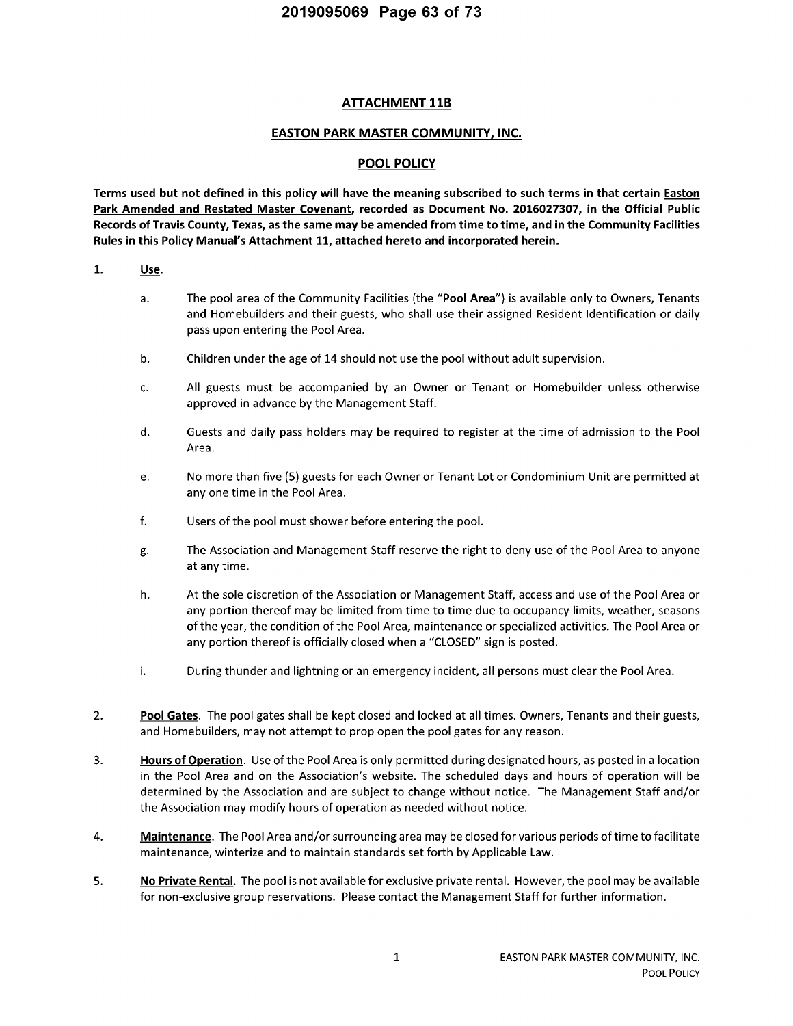## **ATTACHMENT 11B**

## **EASTON PARK MASTER COMMUNITY, INC.**

## **POOL POLICY**

Terms used but not defined in this policy will have the meaning subscribed to such terms in that certain Easton Park Amended and Restated Master Covenant, recorded as Document No. 2016027307, in the Official Public Records of Travis County, Texas, as the same may be amended from time to time, and in the Community Facilities Rules in this Policy Manual's Attachment 11, attached hereto and incorporated herein.

#### $1.$ Use.

- The pool area of the Community Facilities (the "Pool Area") is available only to Owners, Tenants a. and Homebuilders and their guests, who shall use their assigned Resident Identification or daily pass upon entering the Pool Area.
- b. Children under the age of 14 should not use the pool without adult supervision.
- c. All guests must be accompanied by an Owner or Tenant or Homebuilder unless otherwise approved in advance by the Management Staff.
- d. Guests and daily pass holders may be required to register at the time of admission to the Pool Area.
- e. No more than five (5) guests for each Owner or Tenant Lot or Condominium Unit are permitted at any one time in the Pool Area.
- f. Users of the pool must shower before entering the pool.
- The Association and Management Staff reserve the right to deny use of the Pool Area to anyone g. at any time.
- h. At the sole discretion of the Association or Management Staff, access and use of the Pool Area or any portion thereof may be limited from time to time due to occupancy limits, weather, seasons of the year, the condition of the Pool Area, maintenance or specialized activities. The Pool Area or any portion thereof is officially closed when a "CLOSED" sign is posted.
- i. During thunder and lightning or an emergency incident, all persons must clear the Pool Area.
- $2.$ Pool Gates. The pool gates shall be kept closed and locked at all times. Owners, Tenants and their guests, and Homebuilders, may not attempt to prop open the pool gates for any reason.
- $3.$ Hours of Operation. Use of the Pool Area is only permitted during designated hours, as posted in a location in the Pool Area and on the Association's website. The scheduled days and hours of operation will be determined by the Association and are subject to change without notice. The Management Staff and/or the Association may modify hours of operation as needed without notice.
- 4. Maintenance. The Pool Area and/or surrounding area may be closed for various periods of time to facilitate maintenance, winterize and to maintain standards set forth by Applicable Law.
- 5. No Private Rental. The pool is not available for exclusive private rental. However, the pool may be available for non-exclusive group reservations. Please contact the Management Staff for further information.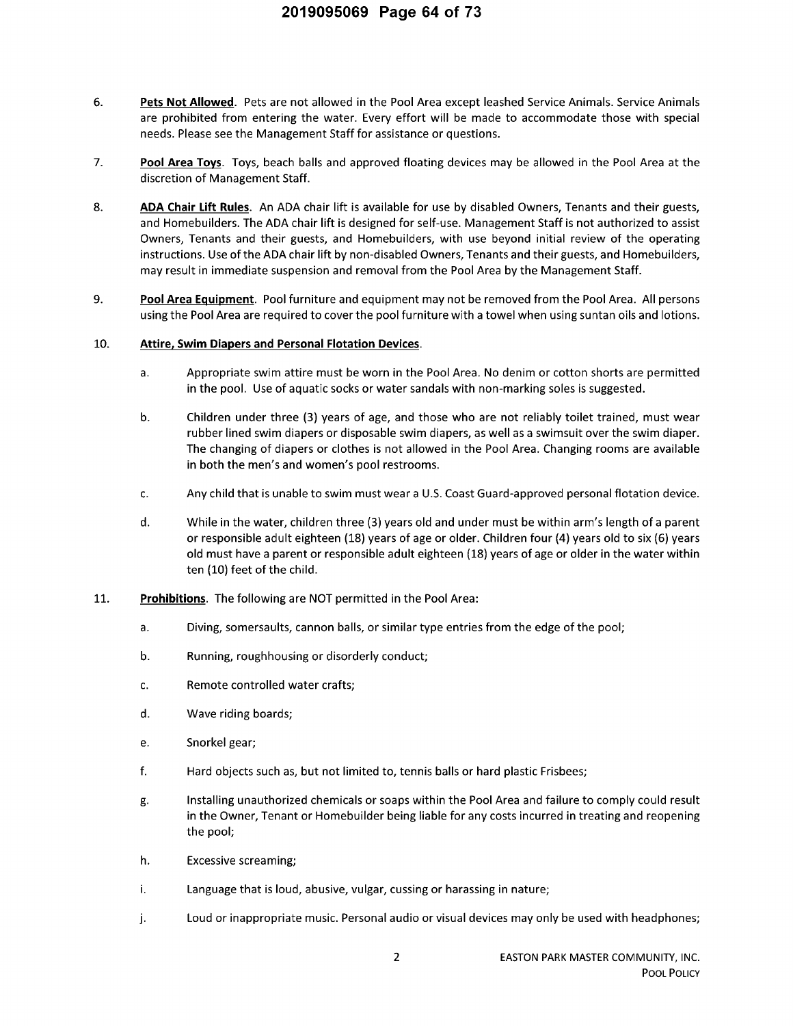# 2019095069 Page 64 of 73

- 6. Pets Not Allowed. Pets are not allowed in the Pool Area except leashed Service Animals. Service Animals are prohibited from entering the water. Every effort will be made to accommodate those with special needs. Please see the Management Staff for assistance or questions.
- $7.$ Pool Area Toys. Toys, beach balls and approved floating devices may be allowed in the Pool Area at the discretion of Management Staff.
- 8. ADA Chair Lift Rules. An ADA chair lift is available for use by disabled Owners, Tenants and their guests, and Homebuilders. The ADA chair lift is designed for self-use. Management Staff is not authorized to assist Owners, Tenants and their guests, and Homebuilders, with use beyond initial review of the operating instructions. Use of the ADA chair lift by non-disabled Owners, Tenants and their guests, and Homebuilders, may result in immediate suspension and removal from the Pool Area by the Management Staff.
- 9. Pool Area Equipment. Pool furniture and equipment may not be removed from the Pool Area. All persons using the Pool Area are required to cover the pool furniture with a towel when using suntan oils and lotions.

#### 10. Attire, Swim Diapers and Personal Flotation Devices.

- a. Appropriate swim attire must be worn in the Pool Area. No denim or cotton shorts are permitted in the pool. Use of aquatic socks or water sandals with non-marking soles is suggested.
- b. Children under three (3) years of age, and those who are not reliably toilet trained, must wear rubber lined swim diapers or disposable swim diapers, as well as a swimsuit over the swim diaper. The changing of diapers or clothes is not allowed in the Pool Area. Changing rooms are available in both the men's and women's pool restrooms.
- Any child that is unable to swim must wear a U.S. Coast Guard-approved personal flotation device. c.
- d. While in the water, children three (3) years old and under must be within arm's length of a parent or responsible adult eighteen (18) years of age or older. Children four (4) years old to six (6) years old must have a parent or responsible adult eighteen (18) years of age or older in the water within ten (10) feet of the child.
- 11. Prohibitions. The following are NOT permitted in the Pool Area:
	- Diving, somersaults, cannon balls, or similar type entries from the edge of the pool; a.
	- b. Running, roughhousing or disorderly conduct;
	- c. Remote controlled water crafts;
	- d. Wave riding boards;
	- e. Snorkel gear;
	- f. Hard objects such as, but not limited to, tennis balls or hard plastic Frisbees;
	- Installing unauthorized chemicals or soaps within the Pool Area and failure to comply could result g. in the Owner, Tenant or Homebuilder being liable for any costs incurred in treating and reopening the pool;
	- h. Excessive screaming;
	- i. Language that is loud, abusive, vulgar, cussing or harassing in nature;
	- j. Loud or inappropriate music. Personal audio or visual devices may only be used with headphones;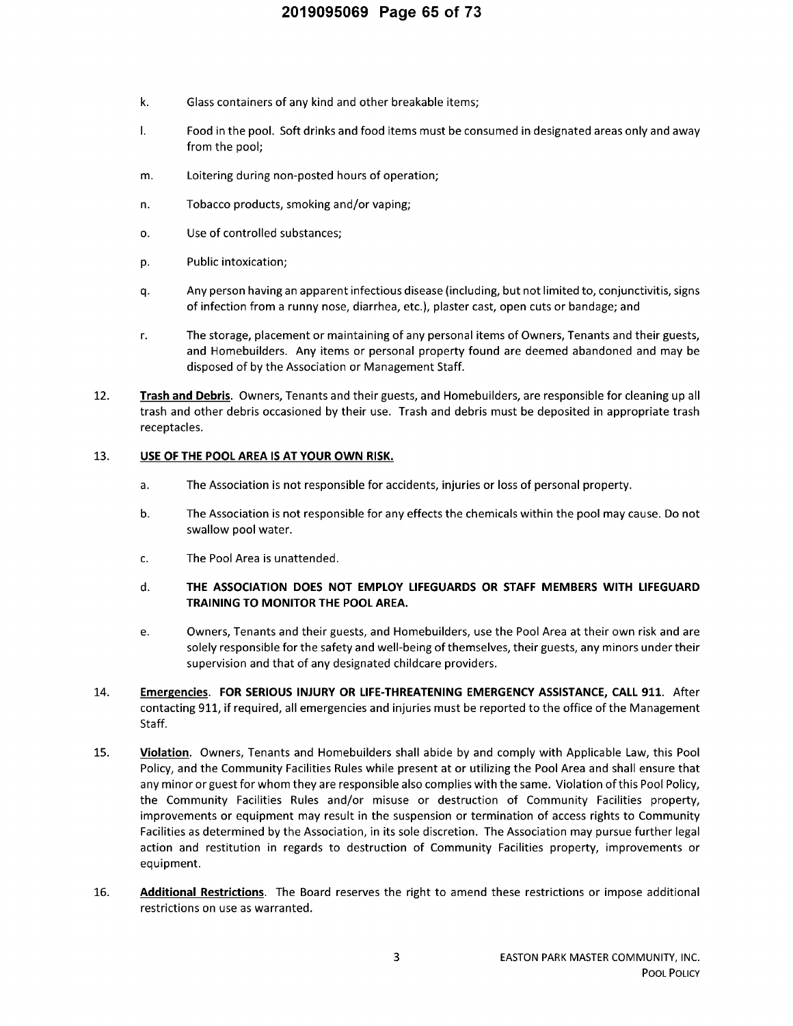- k. Glass containers of any kind and other breakable items;
- I. Food in the pool. Soft drinks and food items must be consumed in designated areas only and away from the pool;
- Loitering during non-posted hours of operation; m.
- n. Tobacco products, smoking and/or vaping;
- o. Use of controlled substances:
- Public intoxication; p.
- q. Any person having an apparent infectious disease (including, but not limited to, conjunctivitis, signs of infection from a runny nose, diarrhea, etc.), plaster cast, open cuts or bandage; and
- r. The storage, placement or maintaining of any personal items of Owners, Tenants and their guests, and Homebuilders. Any items or personal property found are deemed abandoned and may be disposed of by the Association or Management Staff.
- 12. Trash and Debris. Owners, Tenants and their guests, and Homebuilders, are responsible for cleaning up all trash and other debris occasioned by their use. Trash and debris must be deposited in appropriate trash receptacles.

### 13. USE OF THE POOL AREA IS AT YOUR OWN RISK.

- a. The Association is not responsible for accidents, injuries or loss of personal property.
- b. The Association is not responsible for any effects the chemicals within the pool may cause. Do not swallow pool water.
- c. The Pool Area is unattended.
- d. THE ASSOCIATION DOES NOT EMPLOY LIFEGUARDS OR STAFF MEMBERS WITH LIFEGUARD **TRAINING TO MONITOR THE POOL AREA.**
- Owners, Tenants and their guests, and Homebuilders, use the Pool Area at their own risk and are e. solely responsible for the safety and well-being of themselves, their guests, any minors under their supervision and that of any designated childcare providers.
- 14. Emergencies. FOR SERIOUS INJURY OR LIFE-THREATENING EMERGENCY ASSISTANCE, CALL 911. After contacting 911, if required, all emergencies and injuries must be reported to the office of the Management Staff.
- 15. Violation. Owners, Tenants and Homebuilders shall abide by and comply with Applicable Law, this Pool Policy, and the Community Facilities Rules while present at or utilizing the Pool Area and shall ensure that any minor or guest for whom they are responsible also complies with the same. Violation of this Pool Policy, the Community Facilities Rules and/or misuse or destruction of Community Facilities property, improvements or equipment may result in the suspension or termination of access rights to Community Facilities as determined by the Association, in its sole discretion. The Association may pursue further legal action and restitution in regards to destruction of Community Facilities property, improvements or equipment.
- 16. Additional Restrictions. The Board reserves the right to amend these restrictions or impose additional restrictions on use as warranted.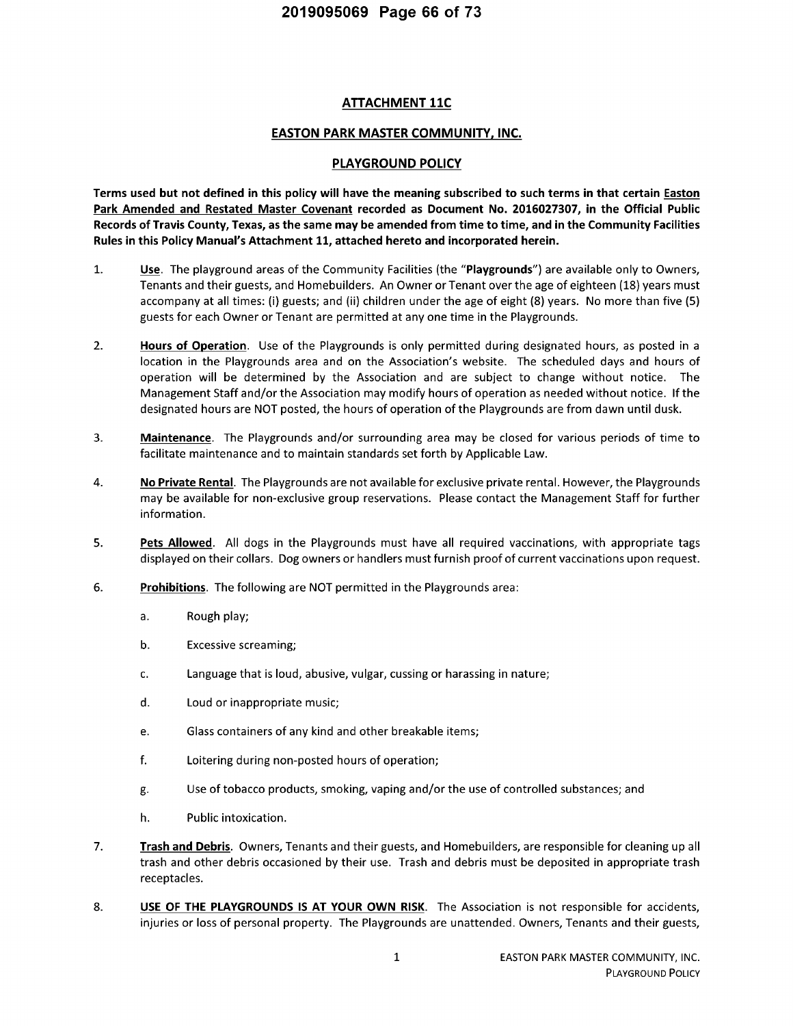# **ATTACHMENT 11C**

## **EASTON PARK MASTER COMMUNITY, INC.**

## PLAYGROUND POLICY

Terms used but not defined in this policy will have the meaning subscribed to such terms in that certain Easton Park Amended and Restated Master Covenant recorded as Document No. 2016027307, in the Official Public Records of Travis County, Texas, as the same may be amended from time to time, and in the Community Facilities Rules in this Policy Manual's Attachment 11, attached hereto and incorporated herein.

- $1.$ Use. The playground areas of the Community Facilities (the "Playgrounds") are available only to Owners, Tenants and their guests, and Homebuilders. An Owner or Tenant over the age of eighteen (18) years must accompany at all times: (i) guests; and (ii) children under the age of eight (8) years. No more than five (5) guests for each Owner or Tenant are permitted at any one time in the Playgrounds.
- $2.$ Hours of Operation. Use of the Playgrounds is only permitted during designated hours, as posted in a location in the Playgrounds area and on the Association's website. The scheduled days and hours of operation will be determined by the Association and are subject to change without notice. The Management Staff and/or the Association may modify hours of operation as needed without notice. If the designated hours are NOT posted, the hours of operation of the Playgrounds are from dawn until dusk.
- 3. **Maintenance.** The Playgrounds and/or surrounding area may be closed for various periods of time to facilitate maintenance and to maintain standards set forth by Applicable Law.
- 4. No Private Rental. The Playgrounds are not available for exclusive private rental. However, the Playgrounds may be available for non-exclusive group reservations. Please contact the Management Staff for further information.
- 5. Pets Allowed. All dogs in the Playgrounds must have all required vaccinations, with appropriate tags displayed on their collars. Dog owners or handlers must furnish proof of current vaccinations upon request.
- 6. Prohibitions. The following are NOT permitted in the Playgrounds area:
	- a. Rough play;
	- $\mathbf b$ . Excessive screaming;
	- c. Language that is loud, abusive, vulgar, cussing or harassing in nature;
	- d. Loud or inappropriate music;
	- Glass containers of any kind and other breakable items; e.
	- f. Loitering during non-posted hours of operation;
	- Use of tobacco products, smoking, vaping and/or the use of controlled substances; and g.
	- h. Public intoxication.
- 7. Trash and Debris. Owners, Tenants and their guests, and Homebuilders, are responsible for cleaning up all trash and other debris occasioned by their use. Trash and debris must be deposited in appropriate trash receptacles.
- 8. USE OF THE PLAYGROUNDS IS AT YOUR OWN RISK. The Association is not responsible for accidents, injuries or loss of personal property. The Playgrounds are unattended. Owners, Tenants and their guests,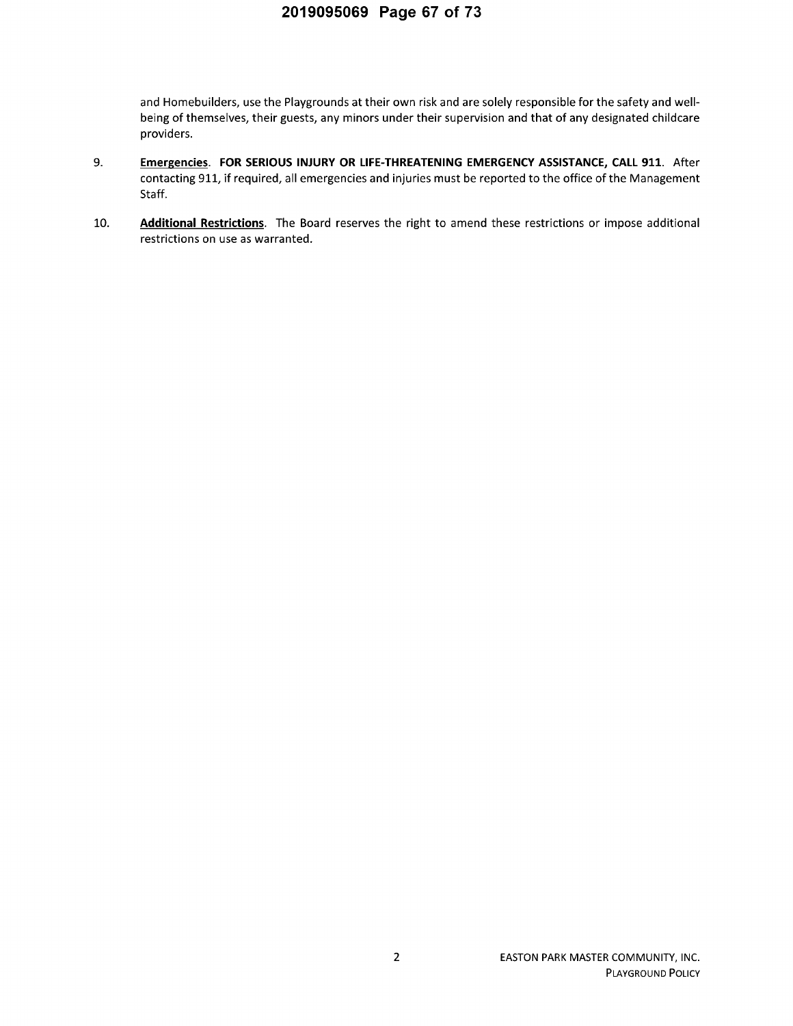and Homebuilders, use the Playgrounds at their own risk and are solely responsible for the safety and wellbeing of themselves, their guests, any minors under their supervision and that of any designated childcare providers.

- 9. Emergencies. FOR SERIOUS INJURY OR LIFE-THREATENING EMERGENCY ASSISTANCE, CALL 911. After contacting 911, if required, all emergencies and injuries must be reported to the office of the Management Staff.
- 10. Additional Restrictions. The Board reserves the right to amend these restrictions or impose additional restrictions on use as warranted.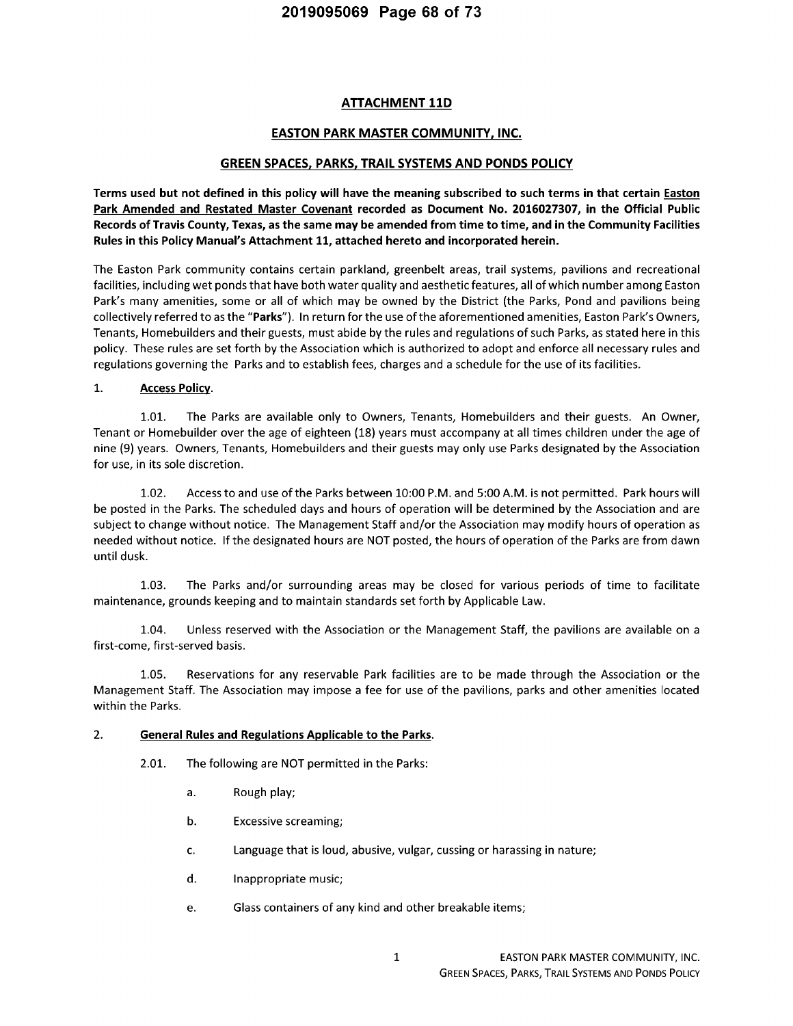# 2019095069 Page 68 of 73

## **ATTACHMENT 11D**

### **EASTON PARK MASTER COMMUNITY, INC.**

### GREEN SPACES, PARKS, TRAIL SYSTEMS AND PONDS POLICY

Terms used but not defined in this policy will have the meaning subscribed to such terms in that certain Easton Park Amended and Restated Master Covenant recorded as Document No. 2016027307, in the Official Public Records of Travis County, Texas, as the same may be amended from time to time, and in the Community Facilities Rules in this Policy Manual's Attachment 11, attached hereto and incorporated herein.

The Easton Park community contains certain parkland, greenbelt areas, trail systems, pavilions and recreational facilities, including wet ponds that have both water quality and aesthetic features, all of which number among Easton Park's many amenities, some or all of which may be owned by the District (the Parks, Pond and pavilions being collectively referred to as the "Parks"). In return for the use of the aforementioned amenities, Easton Park's Owners, Tenants, Homebuilders and their guests, must abide by the rules and regulations of such Parks, as stated here in this policy. These rules are set forth by the Association which is authorized to adopt and enforce all necessary rules and regulations governing the Parks and to establish fees, charges and a schedule for the use of its facilities.

#### $1.$ **Access Policy.**

1.01. The Parks are available only to Owners, Tenants, Homebuilders and their guests. An Owner, Tenant or Homebuilder over the age of eighteen (18) years must accompany at all times children under the age of nine (9) years. Owners, Tenants, Homebuilders and their guests may only use Parks designated by the Association for use, in its sole discretion.

 $1.02.$ Access to and use of the Parks between 10:00 P.M. and 5:00 A.M. is not permitted. Park hours will be posted in the Parks. The scheduled days and hours of operation will be determined by the Association and are subject to change without notice. The Management Staff and/or the Association may modify hours of operation as needed without notice. If the designated hours are NOT posted, the hours of operation of the Parks are from dawn until dusk.

 $1.03.$ The Parks and/or surrounding areas may be closed for various periods of time to facilitate maintenance, grounds keeping and to maintain standards set forth by Applicable Law.

1.04. Unless reserved with the Association or the Management Staff, the pavilions are available on a first-come, first-served basis.

 $1.05.$ Reservations for any reservable Park facilities are to be made through the Association or the Management Staff. The Association may impose a fee for use of the pavilions, parks and other amenities located within the Parks.

#### $2.$ **General Rules and Regulations Applicable to the Parks.**

- 2.01. The following are NOT permitted in the Parks:
	- Rough play; a.
	- b. **Excessive screaming;**
	- $\mathbf{C}.$ Language that is loud, abusive, vulgar, cussing or harassing in nature;
	- d. Inappropriate music;
	- Glass containers of any kind and other breakable items; e.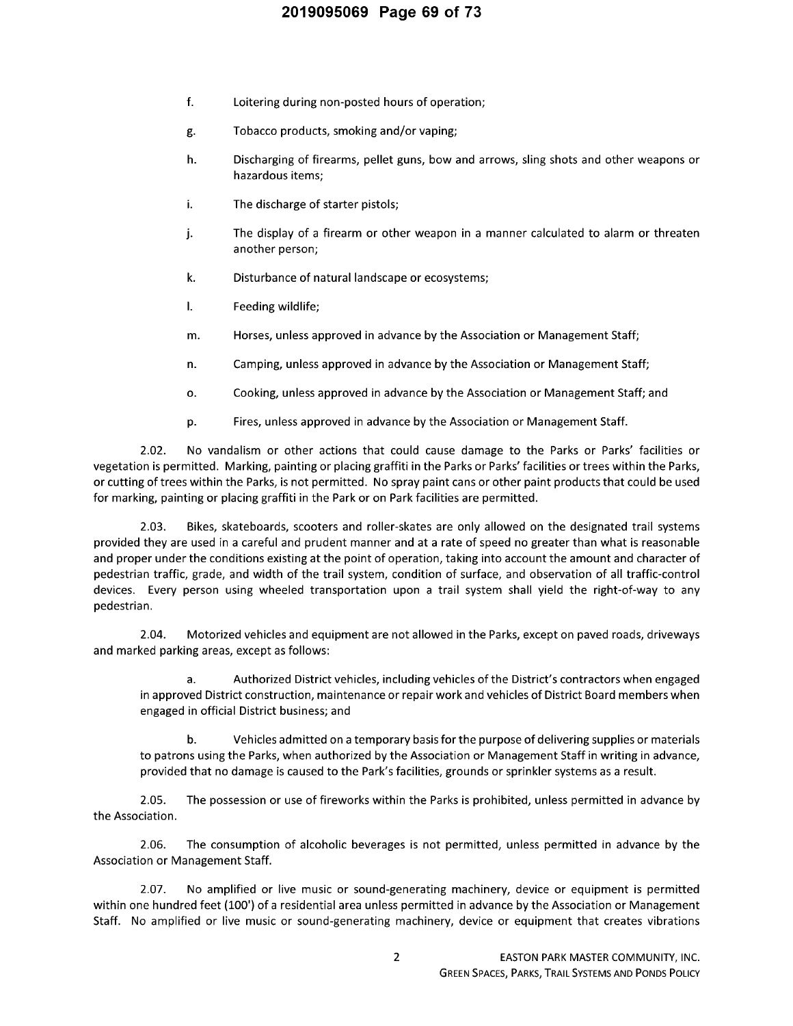# 2019095069 Page 69 of 73

- $f_{\rm{r}}$ Loitering during non-posted hours of operation;
- Tobacco products, smoking and/or vaping; g.
- h. Discharging of firearms, pellet guns, bow and arrows, sling shots and other weapons or hazardous items;
- i. The discharge of starter pistols;
- j. The display of a firearm or other weapon in a manner calculated to alarm or threaten another person;
- Disturbance of natural landscape or ecosystems; k.
- $\mathbf{L}$ Feeding wildlife;
- Horses, unless approved in advance by the Association or Management Staff; m.
- Camping, unless approved in advance by the Association or Management Staff; n.
- 0. Cooking, unless approved in advance by the Association or Management Staff; and
- Fires, unless approved in advance by the Association or Management Staff. p.

 $2.02.$ No vandalism or other actions that could cause damage to the Parks or Parks' facilities or vegetation is permitted. Marking, painting or placing graffiti in the Parks or Parks' facilities or trees within the Parks, or cutting of trees within the Parks, is not permitted. No spray paint cans or other paint products that could be used for marking, painting or placing graffiti in the Park or on Park facilities are permitted.

2.03. Bikes, skateboards, scooters and roller-skates are only allowed on the designated trail systems provided they are used in a careful and prudent manner and at a rate of speed no greater than what is reasonable and proper under the conditions existing at the point of operation, taking into account the amount and character of pedestrian traffic, grade, and width of the trail system, condition of surface, and observation of all traffic-control devices. Every person using wheeled transportation upon a trail system shall yield the right-of-way to any pedestrian.

Motorized vehicles and equipment are not allowed in the Parks, except on paved roads, driveways 2.04. and marked parking areas, except as follows:

Authorized District vehicles, including vehicles of the District's contractors when engaged а. in approved District construction, maintenance or repair work and vehicles of District Board members when engaged in official District business; and

b. Vehicles admitted on a temporary basis for the purpose of delivering supplies or materials to patrons using the Parks, when authorized by the Association or Management Staff in writing in advance, provided that no damage is caused to the Park's facilities, grounds or sprinkler systems as a result.

 $2.05.$ The possession or use of fireworks within the Parks is prohibited, unless permitted in advance by the Association.

2.06. The consumption of alcoholic beverages is not permitted, unless permitted in advance by the Association or Management Staff.

 $2.07.$ No amplified or live music or sound-generating machinery, device or equipment is permitted within one hundred feet (100') of a residential area unless permitted in advance by the Association or Management Staff. No amplified or live music or sound-generating machinery, device or equipment that creates vibrations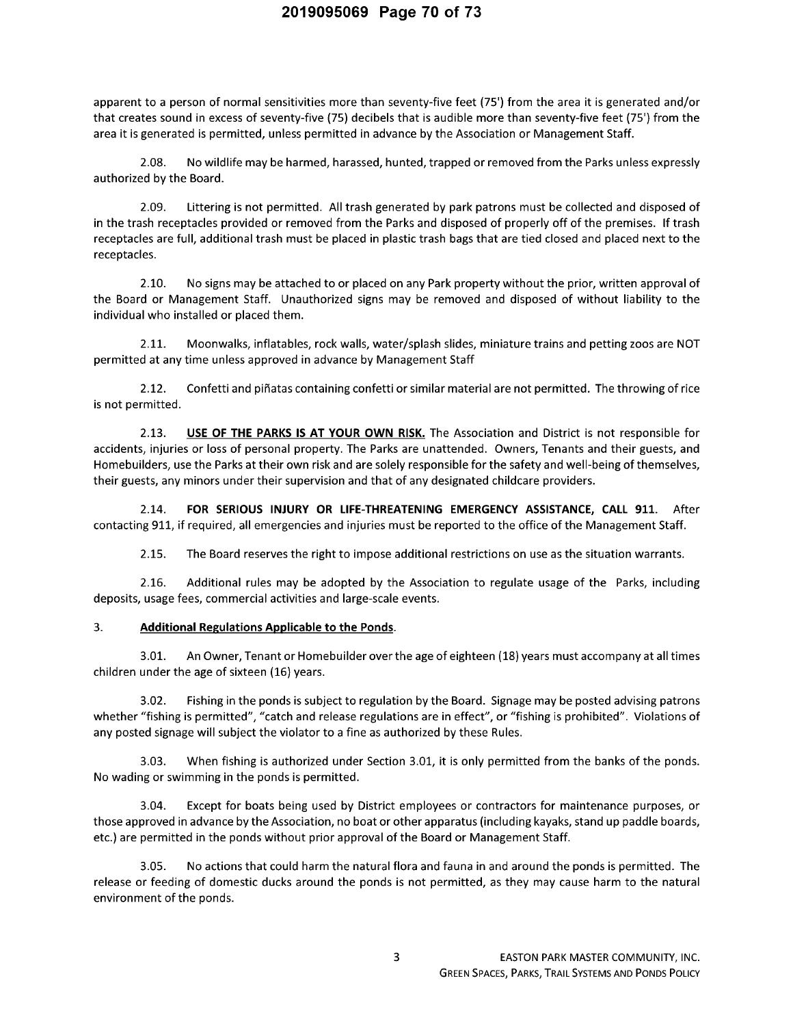apparent to a person of normal sensitivities more than seventy-five feet (75') from the area it is generated and/or that creates sound in excess of seventy-five (75) decibels that is audible more than seventy-five feet (75') from the area it is generated is permitted, unless permitted in advance by the Association or Management Staff.

No wildlife may be harmed, harassed, hunted, trapped or removed from the Parks unless expressly 2.08. authorized by the Board.

 $2.09.$ Littering is not permitted. All trash generated by park patrons must be collected and disposed of in the trash receptacles provided or removed from the Parks and disposed of properly off of the premises. If trash receptacles are full, additional trash must be placed in plastic trash bags that are tied closed and placed next to the receptacles.

 $2.10.$ No signs may be attached to or placed on any Park property without the prior, written approval of the Board or Management Staff. Unauthorized signs may be removed and disposed of without liability to the individual who installed or placed them.

Moonwalks, inflatables, rock walls, water/splash slides, miniature trains and petting zoos are NOT  $2.11.$ permitted at any time unless approved in advance by Management Staff

 $2.12.$ Confetti and piñatas containing confetti or similar material are not permitted. The throwing of rice is not permitted.

 $2.13.$ USE OF THE PARKS IS AT YOUR OWN RISK. The Association and District is not responsible for accidents, injuries or loss of personal property. The Parks are unattended. Owners, Tenants and their guests, and Homebuilders, use the Parks at their own risk and are solely responsible for the safety and well-being of themselves, their guests, any minors under their supervision and that of any designated childcare providers.

 $2.14.$ FOR SERIOUS INJURY OR LIFE-THREATENING EMERGENCY ASSISTANCE, CALL 911. After contacting 911, if required, all emergencies and injuries must be reported to the office of the Management Staff.

 $2.15.$ The Board reserves the right to impose additional restrictions on use as the situation warrants.

 $2.16.$ Additional rules may be adopted by the Association to regulate usage of the Parks, including deposits, usage fees, commercial activities and large-scale events.

#### $3<sub>1</sub>$ **Additional Regulations Applicable to the Ponds.**

An Owner, Tenant or Homebuilder over the age of eighteen (18) years must accompany at all times  $3.01.$ children under the age of sixteen (16) years.

 $3.02.$ Fishing in the ponds is subject to regulation by the Board. Signage may be posted advising patrons whether "fishing is permitted", "catch and release regulations are in effect", or "fishing is prohibited". Violations of any posted signage will subject the violator to a fine as authorized by these Rules.

 $3.03.$ When fishing is authorized under Section 3.01, it is only permitted from the banks of the ponds. No wading or swimming in the ponds is permitted.

 $3.04.$ Except for boats being used by District employees or contractors for maintenance purposes, or those approved in advance by the Association, no boat or other apparatus (including kayaks, stand up paddle boards, etc.) are permitted in the ponds without prior approval of the Board or Management Staff.

No actions that could harm the natural flora and fauna in and around the ponds is permitted. The  $3.05.$ release or feeding of domestic ducks around the ponds is not permitted, as they may cause harm to the natural environment of the ponds.

 $\mathsf{3}$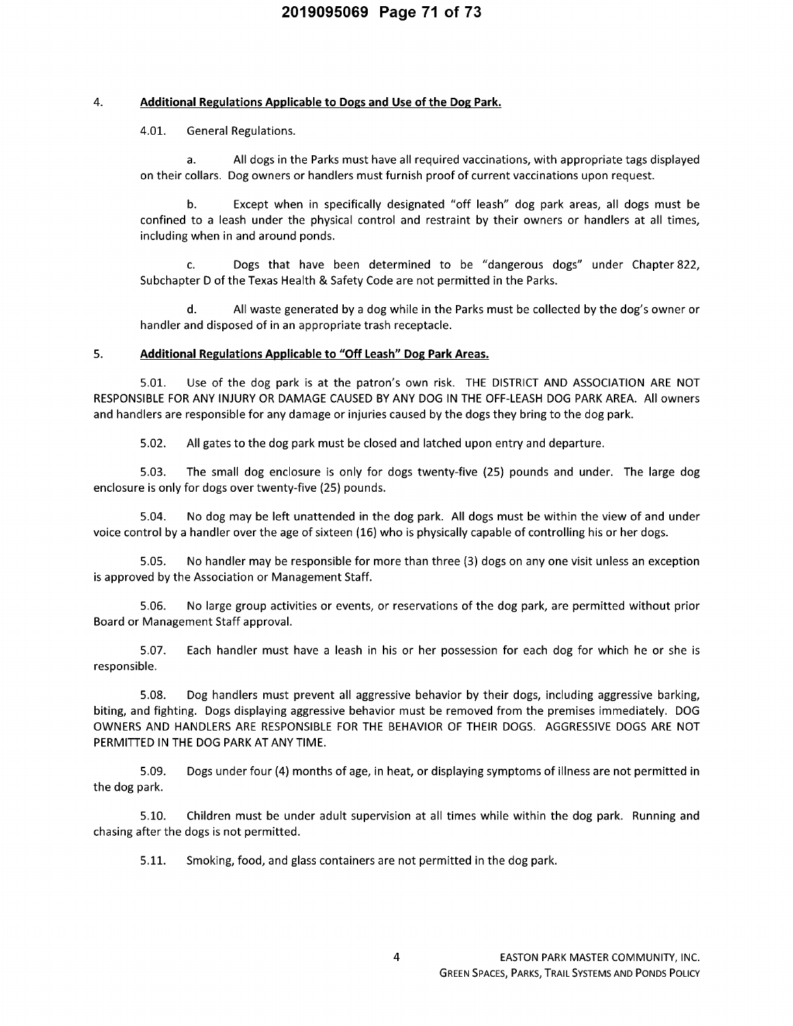# 2019095069 Page 71 of 73

#### 4. Additional Regulations Applicable to Dogs and Use of the Dog Park.

4.01. General Regulations.

All dogs in the Parks must have all required vaccinations, with appropriate tags displayed a. on their collars. Dog owners or handlers must furnish proof of current vaccinations upon request.

 $\mathbf b$ . Except when in specifically designated "off leash" dog park areas, all dogs must be confined to a leash under the physical control and restraint by their owners or handlers at all times, including when in and around ponds.

Dogs that have been determined to be "dangerous dogs" under Chapter 822,  $C_{\alpha}$ Subchapter D of the Texas Health & Safety Code are not permitted in the Parks.

d. All waste generated by a dog while in the Parks must be collected by the dog's owner or handler and disposed of in an appropriate trash receptacle.

#### 5. Additional Regulations Applicable to "Off Leash" Dog Park Areas.

Use of the dog park is at the patron's own risk. THE DISTRICT AND ASSOCIATION ARE NOT  $5.01.$ RESPONSIBLE FOR ANY INJURY OR DAMAGE CAUSED BY ANY DOG IN THE OFF-LEASH DOG PARK AREA. All owners and handlers are responsible for any damage or injuries caused by the dogs they bring to the dog park.

 $5.02.$ All gates to the dog park must be closed and latched upon entry and departure.

 $5.03.$ The small dog enclosure is only for dogs twenty-five (25) pounds and under. The large dog enclosure is only for dogs over twenty-five (25) pounds.

No dog may be left unattended in the dog park. All dogs must be within the view of and under  $5.04.$ voice control by a handler over the age of sixteen (16) who is physically capable of controlling his or her dogs.

 $5.05.$ No handler may be responsible for more than three (3) dogs on any one visit unless an exception is approved by the Association or Management Staff.

 $5.06.$ No large group activities or events, or reservations of the dog park, are permitted without prior Board or Management Staff approval.

 $5.07.$ Each handler must have a leash in his or her possession for each dog for which he or she is responsible.

5.08. Dog handlers must prevent all aggressive behavior by their dogs, including aggressive barking, biting, and fighting. Dogs displaying aggressive behavior must be removed from the premises immediately. DOG OWNERS AND HANDLERS ARE RESPONSIBLE FOR THE BEHAVIOR OF THEIR DOGS. AGGRESSIVE DOGS ARE NOT PERMITTED IN THE DOG PARK AT ANY TIME.

5.09. Dogs under four (4) months of age, in heat, or displaying symptoms of illness are not permitted in the dog park.

 $5.10.$ Children must be under adult supervision at all times while within the dog park. Running and chasing after the dogs is not permitted.

 $5.11.$ Smoking, food, and glass containers are not permitted in the dog park.

 $\overline{\mathbf{4}}$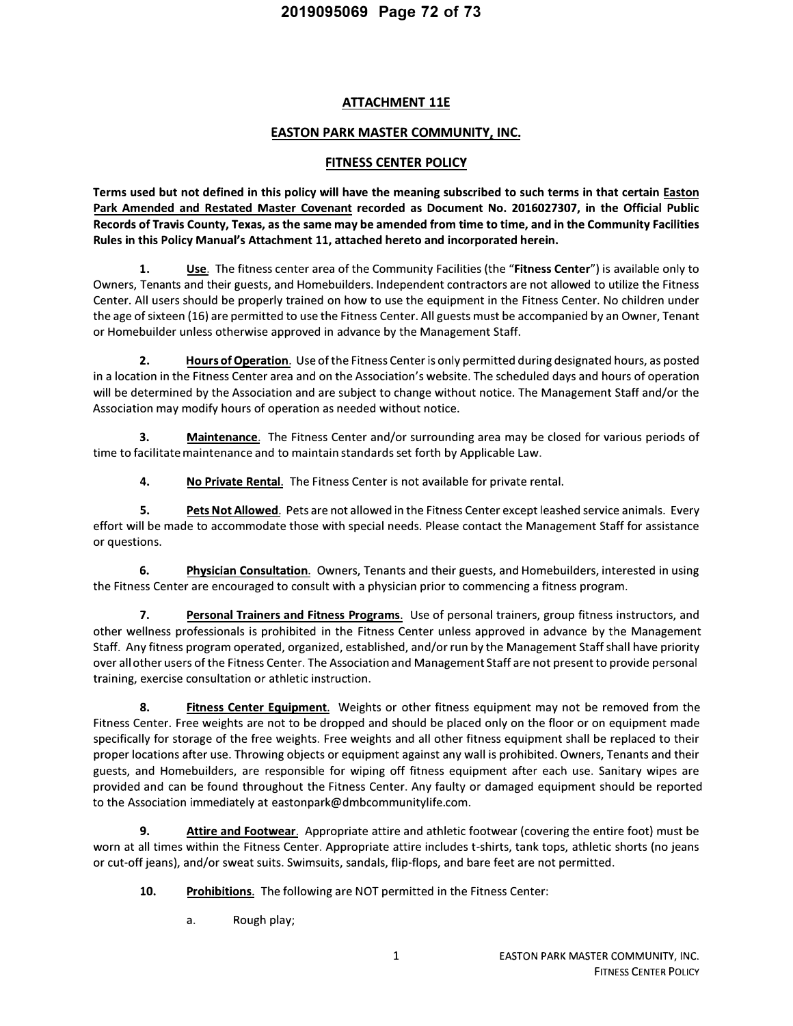# **ATTACHMENT llE**

# **EASTON PARK MASTER COMMUNITY, INC.**

# **FITNESS CENTER POLICY**

**Terms used but not defined in this policy will have the meaning subscribed to such terms in that certain Easton Park Amended and Restated Master Covenant recorded as Document No. 2016027307, in the Official Public Records of Travis County, Texas, as the same may be amended from time to time, and in the Community Facilities Rules in this Policy Manual's Attachment 11, attached hereto and incorporated herein.** 

**1. Use.** The fitness center area of the Community Facilities (the **"Fitness Center")** is available only to Owners, Tenants and their guests, and Homebuilders. Independent contractors are not allowed to utilize the Fitness Center. All users should be properly trained on how to use the equipment in the Fitness Center. No children under the age of sixteen (16) are permitted to use the Fitness Center. All guests must be accompanied by an Owner, Tenant or Homebuilder unless otherwise approved in advance by the Management Staff.

**2. Hours of Operation.** Use of the Fitness Center is only permitted during designated hours, as posted in a location in the Fitness Center area and on the Association's website. The scheduled days and hours of operation will be determined by the Association and are subject to change without notice. The Management Staff and/or the Association may modify hours of operation as needed without notice.

**3. Maintenance.** The Fitness Center and/or surrounding area may be closed for various periods of time to facilitate maintenance and to maintain standards set forth by Applicable Law.

**4. No Private Rental.** The Fitness Center is not available for private rental.

**5. Pets Not Allowed.** Pets are not allowed in the Fitness Center except leashed service animals. Every effort will be made to accommodate those with special needs. Please contact the Management Staff for assistance or questions.

**6. Physician Consultation.** Owners, Tenants and their guests, and Homebuilders, interested in using the Fitness Center are encouraged to consult with a physician prior to commencing a fitness program.

**7. Personal Trainers and Fitness Programs.** Use of personal trainers, group fitness instructors, and other wellness professionals is prohibited in the Fitness Center unless approved in advance by the Management Staff. Any fitness program operated, organized, established, and/or run by the Management Staff shall have priority over allother users of the Fitness Center. The Association and Management Staff are not present to provide personal training, exercise consultation or athletic instruction.

**8. Fitness Center Equipment.** Weights or other fitness equipment may not be removed from the Fitness Center. Free weights are not to be dropped and should be placed only on the floor or on equipment made specifically for storage of the free weights. Free weights and all other fitness equipment shall be replaced to their proper locations after use. Throwing objects or equipment against any wall is prohibited. Owners, Tenants and their guests, and Homebuilders, are responsible for wiping off fitness equipment after each use. Sanitary wipes are provided and can be found throughout the Fitness Center. Any faulty or damaged equipment should be reported to the Association immediately at eastonpark@dmbcommunitylife.com.

**9. Attire and Footwear.** Appropriate attire and athletic footwear (covering the entire foot) must be worn at all times within the Fitness Center. Appropriate attire includes t-shirts, tank tops, athletic shorts (no jeans or cut-off jeans), and/or sweat suits. Swimsuits, sandals, flip-flops, and bare feet are not permitted.

**10. Prohibitions.** The following are NOT permitted in the Fitness Center:

a. Rough play;